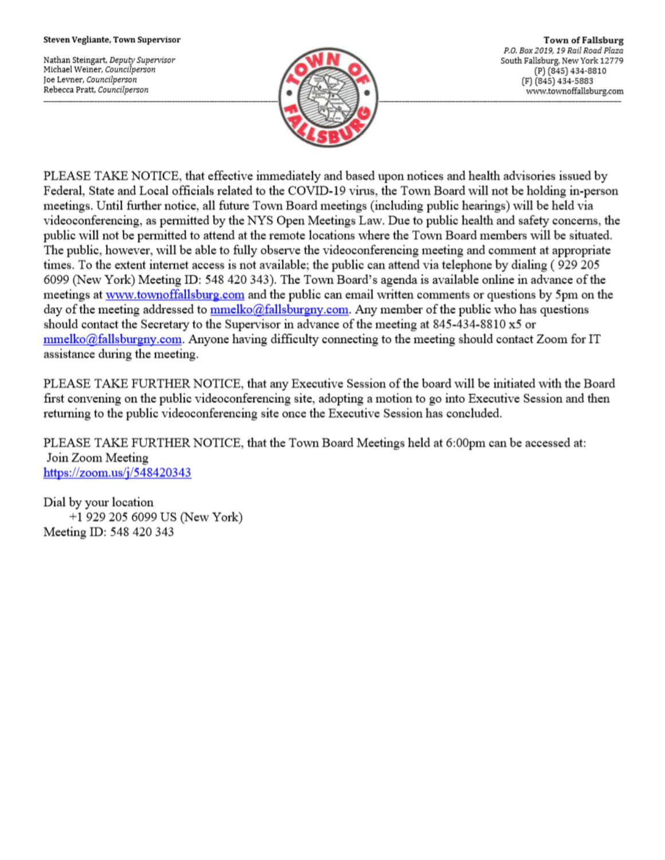#### Steven Vegliante, Town Supervisor

Nathan Steingart, Deputy Supervisor Michael Weiner, Councilperson Joe Levner, Councilperson Rebecca Pratt, Councilperson



**Town of Fallsburg** P.O. Box 2019, 19 Rail Road Plaza South Fallsburg, New York 12779 (P) (845) 434-8810 (F) (845) 434-5883 www.townoffallsburg.com

PLEASE TAKE NOTICE, that effective immediately and based upon notices and health advisories issued by Federal, State and Local officials related to the COVID-19 virus, the Town Board will not be holding in-person meetings. Until further notice, all future Town Board meetings (including public hearings) will be held via videoconferencing, as permitted by the NYS Open Meetings Law. Due to public health and safety concerns, the public will not be permitted to attend at the remote locations where the Town Board members will be situated. The public, however, will be able to fully observe the videoconferencing meeting and comment at appropriate times. To the extent internet access is not available; the public can attend via telephone by dialing (929 205 6099 (New York) Meeting ID: 548 420 343). The Town Board's agenda is available online in advance of the meetings at www.townoffallsburg.com and the public can email written comments or questions by 5pm on the day of the meeting addressed to **mmelko@fallsburgny.com**. Any member of the public who has questions should contact the Secretary to the Supervisor in advance of the meeting at 845-434-8810 x5 or  $mmelko@fallsburgny.com$ . Anyone having difficulty connecting to the meeting should contact Zoom for IT assistance during the meeting.

PLEASE TAKE FURTHER NOTICE, that any Executive Session of the board will be initiated with the Board first convening on the public videoconferencing site, adopting a motion to go into Executive Session and then returning to the public videoconferencing site once the Executive Session has concluded.

PLEASE TAKE FURTHER NOTICE, that the Town Board Meetings held at 6:00pm can be accessed at: Join Zoom Meeting https://zoom.us/j/548420343

Dial by your location +1 929 205 6099 US (New York) Meeting ID: 548 420 343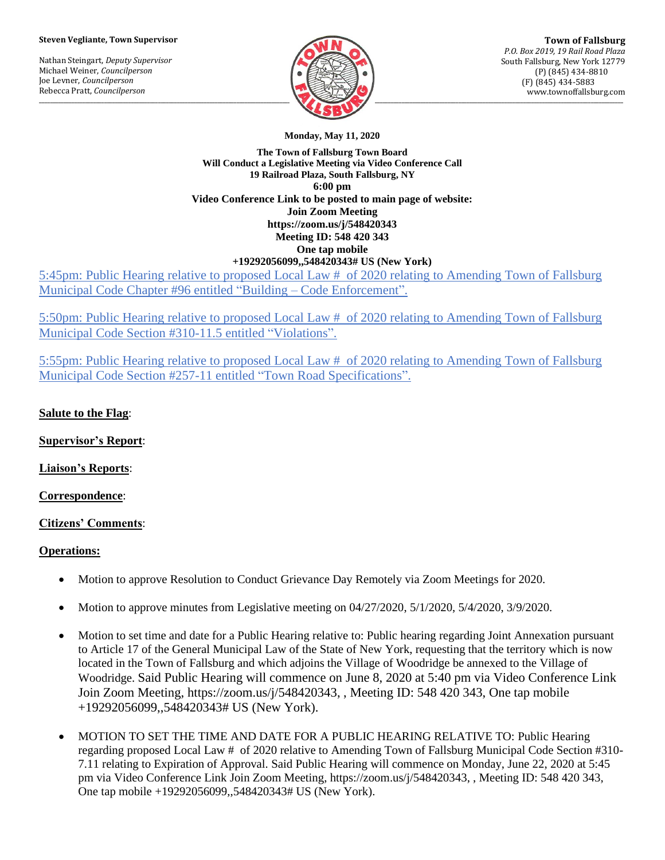#### **Steven Vegliante, Town Supervisor**

Nathan Steingart, *Deputy Supervisor* Michael Weiner, *Councilperson* Joe Levner, *Councilperson* Rebecca Pratt, *Councilperson*



**Monday, May 11, 2020**

**The Town of Fallsburg Town Board Will Conduct a Legislative Meeting via Video Conference Call 19 Railroad Plaza, South Fallsburg, NY 6:00 pm Video Conference Link to be posted to main page of website: Join Zoom Meeting https://zoom.us/j/548420343 Meeting ID: 548 420 343 One tap mobile +19292056099,,548420343# US (New York)**

5:45pm: Public Hearing relative to proposed Local Law # of 2020 relating to Amending Town of Fallsburg Municipal Code Chapter #96 entitled "Building – Code Enforcement".

5:50pm: Public Hearing relative to proposed Local Law # of 2020 relating to Amending Town of Fallsburg Municipal Code Section #310-11.5 entitled "Violations".

5:55pm: Public Hearing relative to proposed Local Law # of 2020 relating to Amending Town of Fallsburg Municipal Code Section #257-11 entitled "Town Road Specifications".

## **Salute to the Flag**:

**Supervisor's Report**:

**Liaison's Reports**:

**Correspondence**:

### **Citizens' Comments**:

### **Operations:**

- Motion to approve Resolution to Conduct Grievance Day Remotely via Zoom Meetings for 2020.
- Motion to approve minutes from Legislative meeting on 04/27/2020, 5/1/2020, 5/4/2020, 3/9/2020.
- Motion to set time and date for a Public Hearing relative to: Public hearing regarding Joint Annexation pursuant to Article 17 of the General Municipal Law of the State of New York, requesting that the territory which is now located in the Town of Fallsburg and which adjoins the Village of Woodridge be annexed to the Village of Woodridge. Said Public Hearing will commence on June 8, 2020 at 5:40 pm via Video Conference Link Join Zoom Meeting, https://zoom.us/j/548420343, , Meeting ID: 548 420 343, One tap mobile +19292056099,,548420343# US (New York).
- MOTION TO SET THE TIME AND DATE FOR A PUBLIC HEARING RELATIVE TO: Public Hearing regarding proposed Local Law # of 2020 relative to Amending Town of Fallsburg Municipal Code Section #310- 7.11 relating to Expiration of Approval. Said Public Hearing will commence on Monday, June 22, 2020 at 5:45 pm via Video Conference Link Join Zoom Meeting, https://zoom.us/j/548420343, , Meeting ID: 548 420 343, One tap mobile +19292056099,,548420343# US (New York).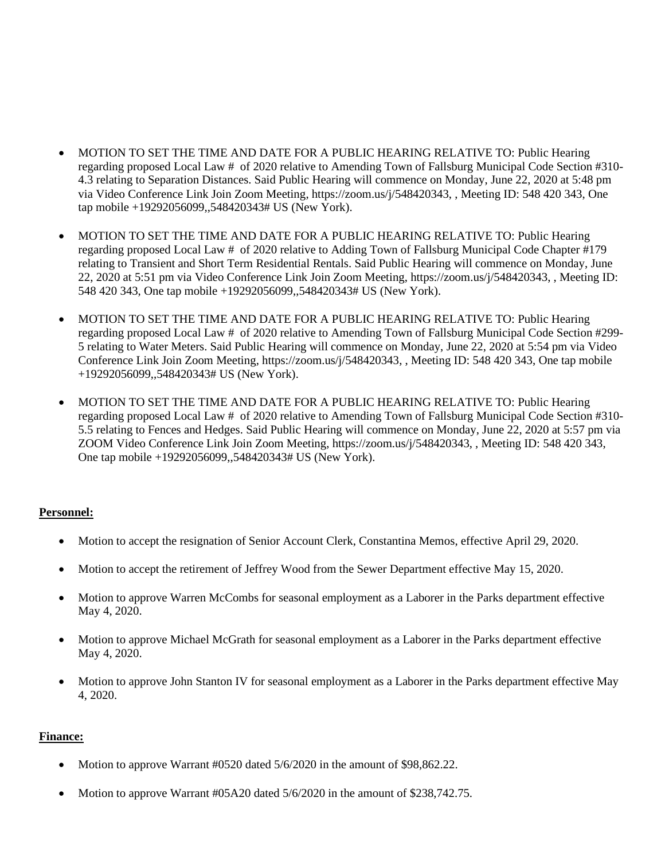- MOTION TO SET THE TIME AND DATE FOR A PUBLIC HEARING RELATIVE TO: Public Hearing regarding proposed Local Law # of 2020 relative to Amending Town of Fallsburg Municipal Code Section #310- 4.3 relating to Separation Distances. Said Public Hearing will commence on Monday, June 22, 2020 at 5:48 pm via Video Conference Link Join Zoom Meeting, https://zoom.us/j/548420343, , Meeting ID: 548 420 343, One tap mobile +19292056099,,548420343# US (New York).
- MOTION TO SET THE TIME AND DATE FOR A PUBLIC HEARING RELATIVE TO: Public Hearing regarding proposed Local Law # of 2020 relative to Adding Town of Fallsburg Municipal Code Chapter #179 relating to Transient and Short Term Residential Rentals. Said Public Hearing will commence on Monday, June 22, 2020 at 5:51 pm via Video Conference Link Join Zoom Meeting, https://zoom.us/j/548420343, , Meeting ID: 548 420 343, One tap mobile +19292056099,,548420343# US (New York).
- MOTION TO SET THE TIME AND DATE FOR A PUBLIC HEARING RELATIVE TO: Public Hearing regarding proposed Local Law # of 2020 relative to Amending Town of Fallsburg Municipal Code Section #299- 5 relating to Water Meters. Said Public Hearing will commence on Monday, June 22, 2020 at 5:54 pm via Video Conference Link Join Zoom Meeting, https://zoom.us/j/548420343, , Meeting ID: 548 420 343, One tap mobile +19292056099,,548420343# US (New York).
- MOTION TO SET THE TIME AND DATE FOR A PUBLIC HEARING RELATIVE TO: Public Hearing regarding proposed Local Law # of 2020 relative to Amending Town of Fallsburg Municipal Code Section #310- 5.5 relating to Fences and Hedges. Said Public Hearing will commence on Monday, June 22, 2020 at 5:57 pm via ZOOM Video Conference Link Join Zoom Meeting, https://zoom.us/j/548420343, , Meeting ID: 548 420 343, One tap mobile +19292056099,,548420343# US (New York).

### **Personnel:**

- Motion to accept the resignation of Senior Account Clerk, Constantina Memos, effective April 29, 2020.
- Motion to accept the retirement of Jeffrey Wood from the Sewer Department effective May 15, 2020.
- Motion to approve Warren McCombs for seasonal employment as a Laborer in the Parks department effective May 4, 2020.
- Motion to approve Michael McGrath for seasonal employment as a Laborer in the Parks department effective May 4, 2020.
- Motion to approve John Stanton IV for seasonal employment as a Laborer in the Parks department effective May 4, 2020.

### **Finance:**

- Motion to approve Warrant #0520 dated 5/6/2020 in the amount of \$98,862.22.
- Motion to approve Warrant #05A20 dated 5/6/2020 in the amount of \$238,742.75.